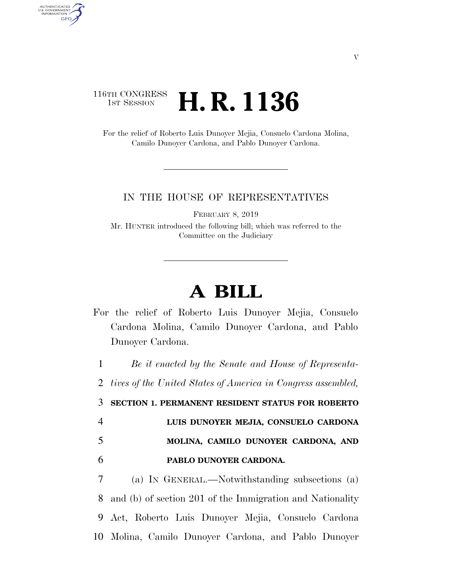## 116TH CONGRESS <sup>TH CONGRESS</sup> **H. R. 1136**

AUTHENTICATED<br>U.S. GOVERNMENT<br>INFORMATION

**GPO** 

For the relief of Roberto Luis Dunoyer Mejia, Consuelo Cardona Molina, Camilo Dunoyer Cardona, and Pablo Dunoyer Cardona.

## IN THE HOUSE OF REPRESENTATIVES

FEBRUARY 8, 2019

Mr. HUNTER introduced the following bill; which was referred to the Committee on the Judiciary

## **A BILL**

For the relief of Roberto Luis Dunoyer Mejia, Consuelo Cardona Molina, Camilo Dunoyer Cardona, and Pablo Dunoyer Cardona.

 *Be it enacted by the Senate and House of Representa- tives of the United States of America in Congress assembled,*  **SECTION 1. PERMANENT RESIDENT STATUS FOR ROBERTO LUIS DUNOYER MEJIA, CONSUELO CARDONA MOLINA, CAMILO DUNOYER CARDONA, AND PABLO DUNOYER CARDONA.**  (a) IN GENERAL.—Notwithstanding subsections (a) and (b) of section 201 of the Immigration and Nationality

9 Act, Roberto Luis Dunoyer Mejia, Consuelo Cardona 10 Molina, Camilo Dunoyer Cardona, and Pablo Dunoyer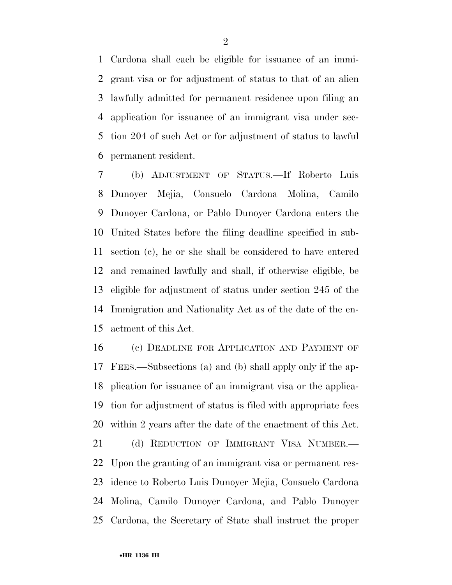Cardona shall each be eligible for issuance of an immi- grant visa or for adjustment of status to that of an alien lawfully admitted for permanent residence upon filing an application for issuance of an immigrant visa under sec- tion 204 of such Act or for adjustment of status to lawful permanent resident.

 (b) ADJUSTMENT OF STATUS.—If Roberto Luis Dunoyer Mejia, Consuelo Cardona Molina, Camilo Dunoyer Cardona, or Pablo Dunoyer Cardona enters the United States before the filing deadline specified in sub- section (c), he or she shall be considered to have entered and remained lawfully and shall, if otherwise eligible, be eligible for adjustment of status under section 245 of the Immigration and Nationality Act as of the date of the en-actment of this Act.

 (c) DEADLINE FOR APPLICATION AND PAYMENT OF FEES.—Subsections (a) and (b) shall apply only if the ap- plication for issuance of an immigrant visa or the applica- tion for adjustment of status is filed with appropriate fees within 2 years after the date of the enactment of this Act.

21 (d) REDUCTION OF IMMIGRANT VISA NUMBER. Upon the granting of an immigrant visa or permanent res- idence to Roberto Luis Dunoyer Mejia, Consuelo Cardona Molina, Camilo Dunoyer Cardona, and Pablo Dunoyer Cardona, the Secretary of State shall instruct the proper